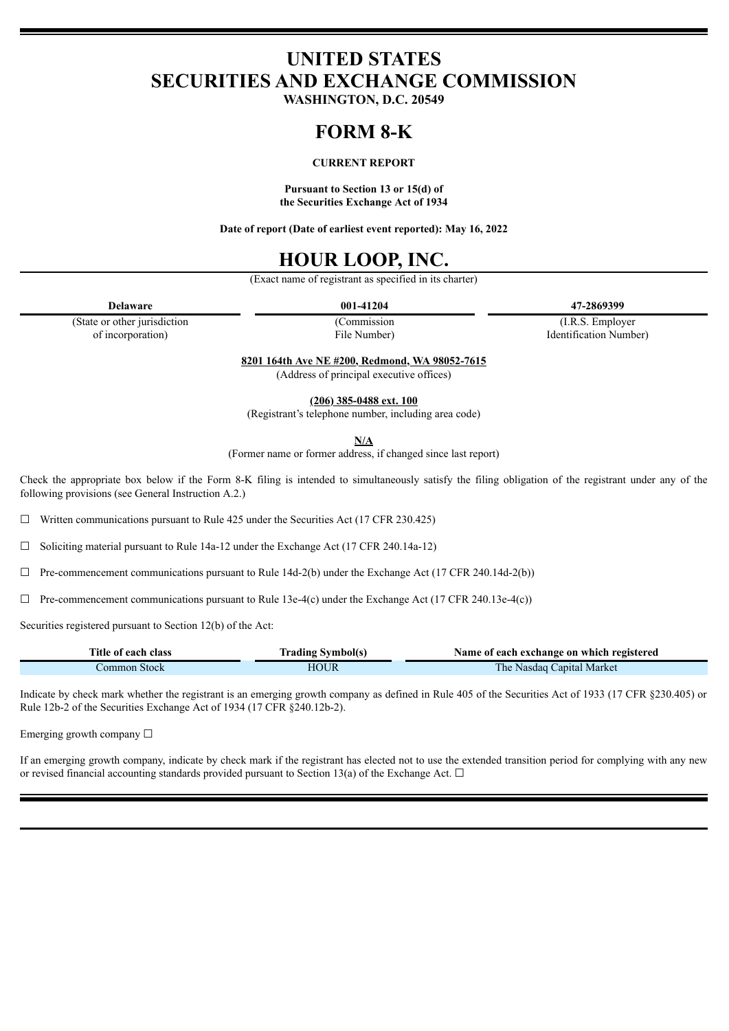# **UNITED STATES SECURITIES AND EXCHANGE COMMISSION**

**WASHINGTON, D.C. 20549**

# **FORM 8-K**

## **CURRENT REPORT**

**Pursuant to Section 13 or 15(d) of the Securities Exchange Act of 1934**

**Date of report (Date of earliest event reported): May 16, 2022**

# **HOUR LOOP, INC.**

(Exact name of registrant as specified in its charter)

**Delaware 001-41204 47-2869399**

(State or other jurisdiction of incorporation)

(Commission File Number)

(I.R.S. Employer Identification Number)

**8201 164th Ave NE #200, Redmond, WA 98052-7615**

(Address of principal executive offices)

**(206) 385-0488 ext. 100**

(Registrant's telephone number, including area code)

**N/A**

(Former name or former address, if changed since last report)

Check the appropriate box below if the Form 8-K filing is intended to simultaneously satisfy the filing obligation of the registrant under any of the following provisions (see General Instruction A.2.)

 $\Box$  Written communications pursuant to Rule 425 under the Securities Act (17 CFR 230.425)

 $\Box$  Soliciting material pursuant to Rule 14a-12 under the Exchange Act (17 CFR 240.14a-12)

 $\Box$  Pre-commencement communications pursuant to Rule 14d-2(b) under the Exchange Act (17 CFR 240.14d-2(b))

 $\Box$  Pre-commencement communications pursuant to Rule 13e-4(c) under the Exchange Act (17 CFR 240.13e-4(c))

Securities registered pursuant to Section 12(b) of the Act:

| Title of each class | <b>Trading Symbol(s)</b> | Name of each exchange on which registered |  |  |  |
|---------------------|--------------------------|-------------------------------------------|--|--|--|
| Common Stock        | HOUR                     | The Nasdaq Capital Market                 |  |  |  |

Indicate by check mark whether the registrant is an emerging growth company as defined in Rule 405 of the Securities Act of 1933 (17 CFR §230.405) or Rule 12b-2 of the Securities Exchange Act of 1934 (17 CFR §240.12b-2).

Emerging growth company  $\Box$ 

If an emerging growth company, indicate by check mark if the registrant has elected not to use the extended transition period for complying with any new or revised financial accounting standards provided pursuant to Section 13(a) of the Exchange Act.  $\Box$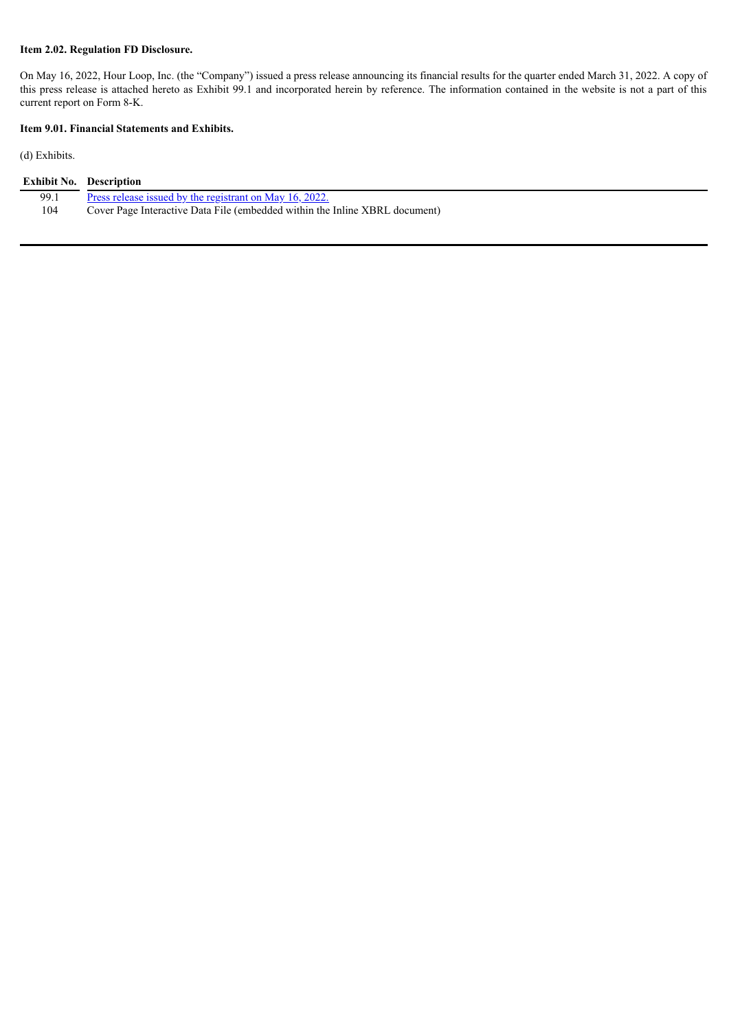# **Item 2.02. Regulation FD Disclosure.**

On May 16, 2022, Hour Loop, Inc. (the "Company") issued a press release announcing its financial results for the quarter ended March 31, 2022. A copy of this press release is attached hereto as Exhibit 99.1 and incorporated herein by reference. The information contained in the website is not a part of this current report on Form 8-K.

# **Item 9.01. Financial Statements and Exhibits.**

(d) Exhibits.

| <b>Exhibit No. Description</b> |                                                                             |
|--------------------------------|-----------------------------------------------------------------------------|
| 99.1                           | Press release issued by the registrant on May 16, 2022.                     |
| 104                            | Cover Page Interactive Data File (embedded within the Inline XBRL document) |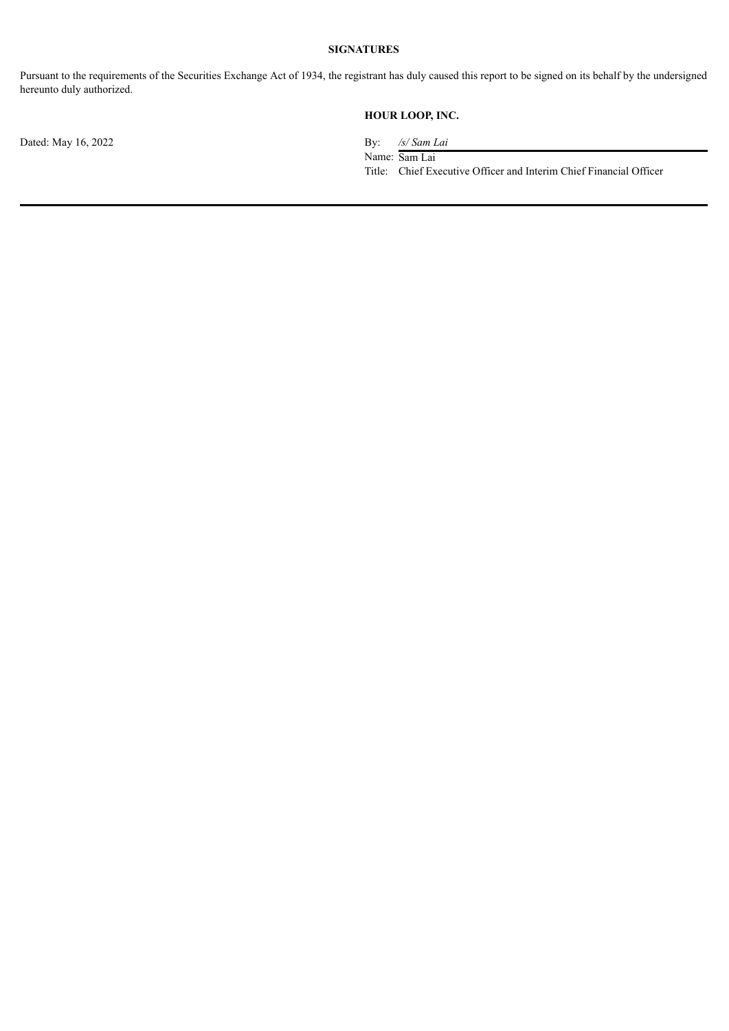# **SIGNATURES**

Pursuant to the requirements of the Securities Exchange Act of 1934, the registrant has duly caused this report to be signed on its behalf by the undersigned hereunto duly authorized.

# **HOUR LOOP, INC.**

Dated: May 16, 2022 By: */s/ Sam Lai*

Name: Sam Lai Title: Chief Executive Officer and Interim Chief Financial Officer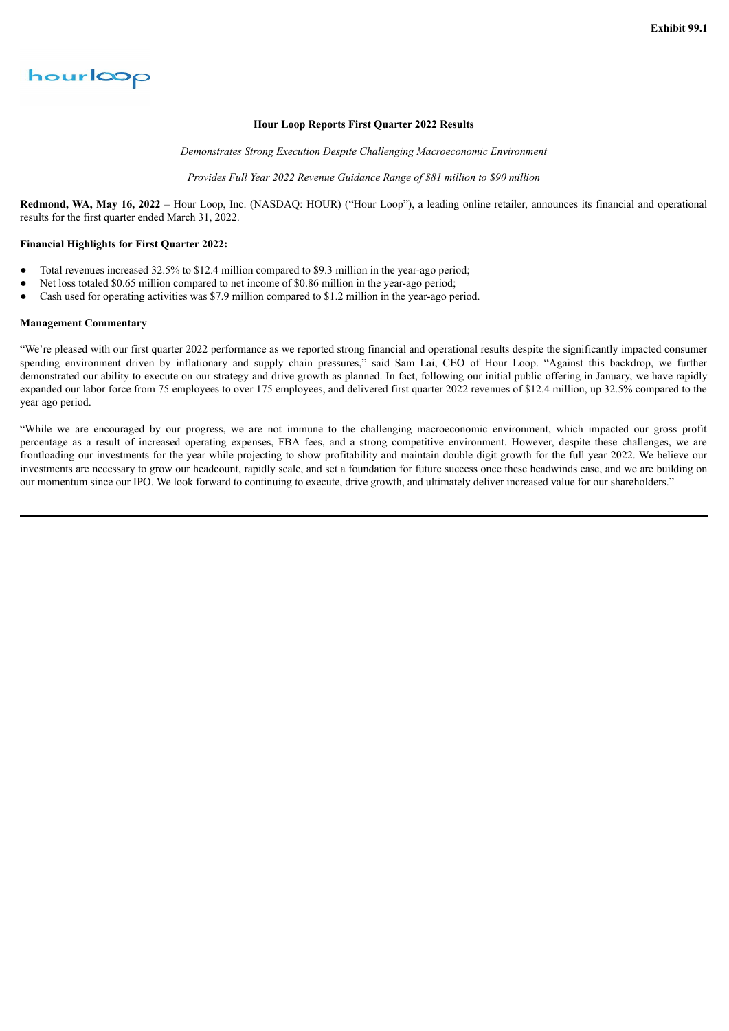<span id="page-3-0"></span>

## **Hour Loop Reports First Quarter 2022 Results**

*Demonstrates Strong Execution Despite Challenging Macroeconomic Environment*

*Provides Full Year 2022 Revenue Guidance Range of \$81 million to \$90 million*

**Redmond, WA, May 16, 2022** – Hour Loop, Inc. (NASDAQ: HOUR) ("Hour Loop"), a leading online retailer, announces its financial and operational results for the first quarter ended March 31, 2022.

#### **Financial Highlights for First Quarter 2022:**

- Total revenues increased 32.5% to \$12.4 million compared to \$9.3 million in the year-ago period;
- Net loss totaled \$0.65 million compared to net income of \$0.86 million in the year-ago period;
- Cash used for operating activities was \$7.9 million compared to \$1.2 million in the year-ago period.

#### **Management Commentary**

"We're pleased with our first quarter 2022 performance as we reported strong financial and operational results despite the significantly impacted consumer spending environment driven by inflationary and supply chain pressures," said Sam Lai, CEO of Hour Loop. "Against this backdrop, we further demonstrated our ability to execute on our strategy and drive growth as planned. In fact, following our initial public offering in January, we have rapidly expanded our labor force from 75 employees to over 175 employees, and delivered first quarter 2022 revenues of \$12.4 million, up 32.5% compared to the year ago period.

"While we are encouraged by our progress, we are not immune to the challenging macroeconomic environment, which impacted our gross profit percentage as a result of increased operating expenses, FBA fees, and a strong competitive environment. However, despite these challenges, we are frontloading our investments for the year while projecting to show profitability and maintain double digit growth for the full year 2022. We believe our investments are necessary to grow our headcount, rapidly scale, and set a foundation for future success once these headwinds ease, and we are building on our momentum since our IPO. We look forward to continuing to execute, drive growth, and ultimately deliver increased value for our shareholders."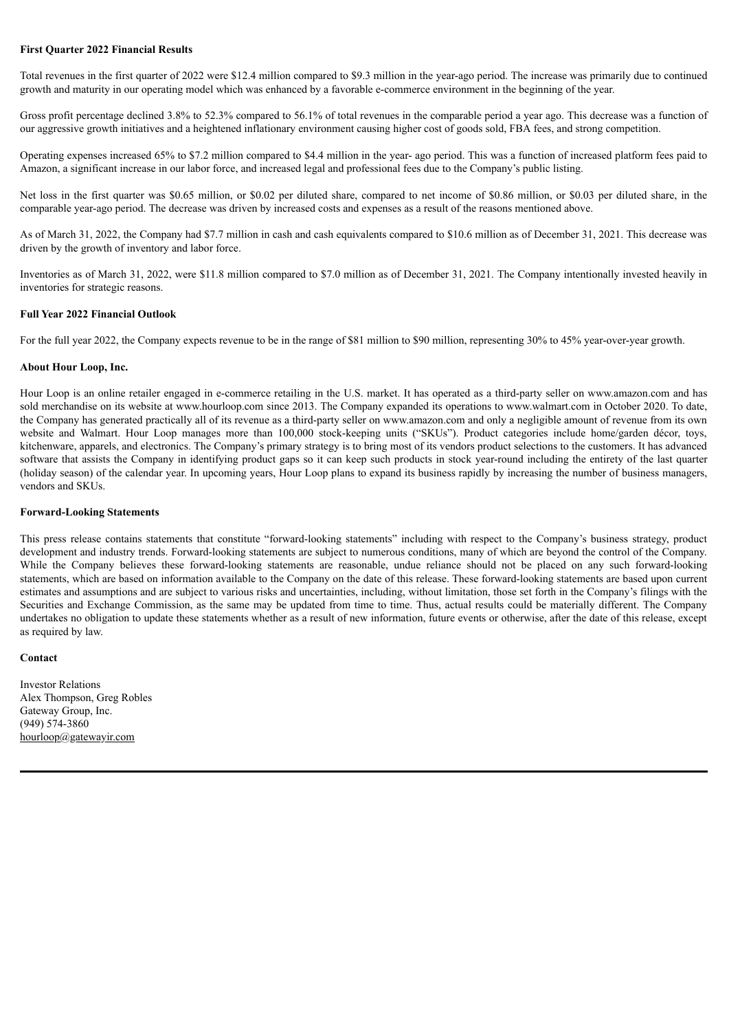## **First Quarter 2022 Financial Results**

Total revenues in the first quarter of 2022 were \$12.4 million compared to \$9.3 million in the year-ago period. The increase was primarily due to continued growth and maturity in our operating model which was enhanced by a favorable e-commerce environment in the beginning of the year.

Gross profit percentage declined 3.8% to 52.3% compared to 56.1% of total revenues in the comparable period a year ago. This decrease was a function of our aggressive growth initiatives and a heightened inflationary environment causing higher cost of goods sold, FBA fees, and strong competition.

Operating expenses increased 65% to \$7.2 million compared to \$4.4 million in the year- ago period. This was a function of increased platform fees paid to Amazon, a significant increase in our labor force, and increased legal and professional fees due to the Company's public listing.

Net loss in the first quarter was \$0.65 million, or \$0.02 per diluted share, compared to net income of \$0.86 million, or \$0.03 per diluted share, in the comparable year-ago period. The decrease was driven by increased costs and expenses as a result of the reasons mentioned above.

As of March 31, 2022, the Company had \$7.7 million in cash and cash equivalents compared to \$10.6 million as of December 31, 2021. This decrease was driven by the growth of inventory and labor force.

Inventories as of March 31, 2022, were \$11.8 million compared to \$7.0 million as of December 31, 2021. The Company intentionally invested heavily in inventories for strategic reasons.

## **Full Year 2022 Financial Outlook**

For the full year 2022, the Company expects revenue to be in the range of \$81 million to \$90 million, representing 30% to 45% year-over-year growth.

## **About Hour Loop, Inc.**

Hour Loop is an online retailer engaged in e-commerce retailing in the U.S. market. It has operated as a third-party seller on www.amazon.com and has sold merchandise on its website at www.hourloop.com since 2013. The Company expanded its operations to www.walmart.com in October 2020. To date, the Company has generated practically all of its revenue as a third-party seller on www.amazon.com and only a negligible amount of revenue from its own website and Walmart. Hour Loop manages more than 100,000 stock-keeping units ("SKUs"). Product categories include home/garden décor, toys, kitchenware, apparels, and electronics. The Company's primary strategy is to bring most of its vendors product selections to the customers. It has advanced software that assists the Company in identifying product gaps so it can keep such products in stock year-round including the entirety of the last quarter (holiday season) of the calendar year. In upcoming years, Hour Loop plans to expand its business rapidly by increasing the number of business managers, vendors and SKUs.

#### **Forward-Looking Statements**

This press release contains statements that constitute "forward-looking statements" including with respect to the Company's business strategy, product development and industry trends. Forward-looking statements are subject to numerous conditions, many of which are beyond the control of the Company. While the Company believes these forward-looking statements are reasonable, undue reliance should not be placed on any such forward-looking statements, which are based on information available to the Company on the date of this release. These forward-looking statements are based upon current estimates and assumptions and are subject to various risks and uncertainties, including, without limitation, those set forth in the Company's filings with the Securities and Exchange Commission, as the same may be updated from time to time. Thus, actual results could be materially different. The Company undertakes no obligation to update these statements whether as a result of new information, future events or otherwise, after the date of this release, except as required by law.

### **Contact**

Investor Relations Alex Thompson, Greg Robles Gateway Group, Inc. (949) 574-3860 hourloop@gatewayir.com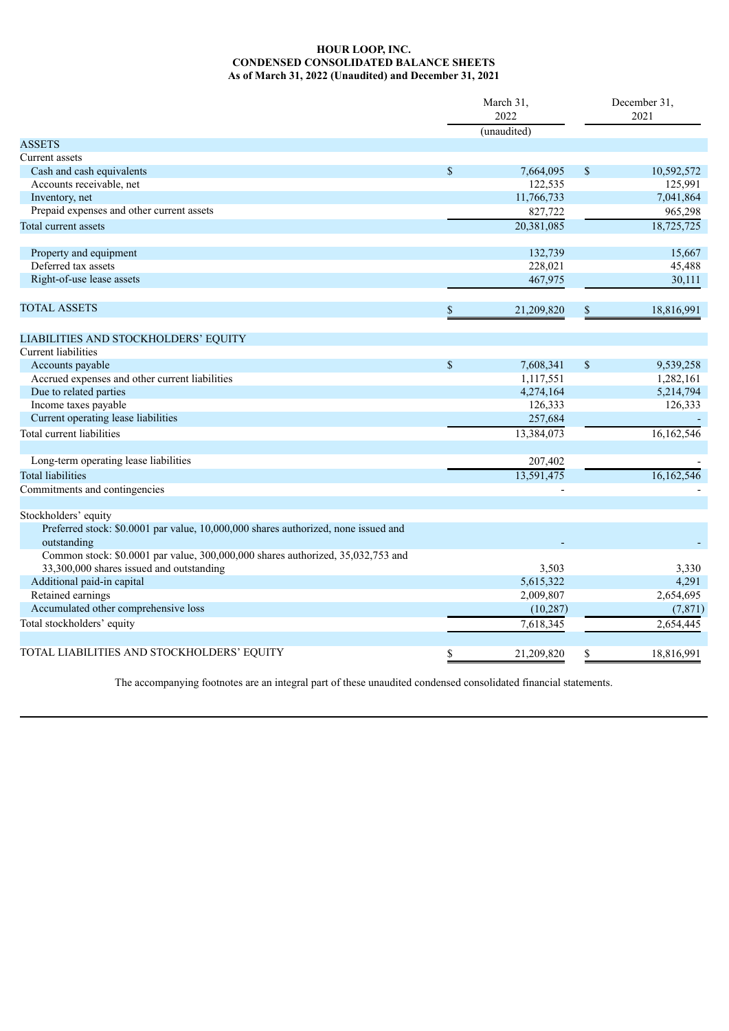## **HOUR LOOP, INC. CONDENSED CONSOLIDATED BALANCE SHEETS As of March 31, 2022 (Unaudited) and December 31, 2021**

| (unaudited)<br>Current assets<br>\$<br>\$<br>Cash and cash equivalents<br>7,664,095<br>10,592,572<br>Accounts receivable, net<br>122,535<br>125,991<br>Inventory, net<br>11,766,733<br>7,041,864<br>Prepaid expenses and other current assets<br>827,722<br>965,298<br>Total current assets<br>20,381,085<br>18,725,725<br>132,739<br>15,667<br>Property and equipment<br>Deferred tax assets<br>228,021<br>45,488<br>Right-of-use lease assets<br>467,975<br>30,111<br><b>TOTAL ASSETS</b><br>21,209,820<br>\$<br>18,816,991<br>\$<br>LIABILITIES AND STOCKHOLDERS' EQUITY<br>Current liabilities<br>\$<br>$\mathbb{S}$<br>Accounts payable<br>7,608,341<br>9,539,258<br>Accrued expenses and other current liabilities<br>1,117,551<br>1,282,161<br>Due to related parties<br>4,274,164<br>5,214,794<br>Income taxes payable<br>126,333<br>126,333<br>Current operating lease liabilities<br>257,684<br>Total current liabilities<br>16,162,546<br>13,384,073<br>Long-term operating lease liabilities<br>207,402<br>13,591,475<br>16,162,546<br><b>Total liabilities</b><br>Commitments and contingencies<br>Stockholders' equity<br>Preferred stock: \$0.0001 par value, 10,000,000 shares authorized, none issued and<br>outstanding<br>Common stock: \$0.0001 par value, 300,000,000 shares authorized, 35,032,753 and<br>33,300,000 shares issued and outstanding<br>3,503<br>3,330<br>Additional paid-in capital<br>5,615,322<br>4,291<br>Retained earnings<br>2,009,807<br>2,654,695<br>Accumulated other comprehensive loss<br>(7, 871)<br>(10, 287) |               | March 31,<br>2022 |  | December 31,<br>2021 |  |
|----------------------------------------------------------------------------------------------------------------------------------------------------------------------------------------------------------------------------------------------------------------------------------------------------------------------------------------------------------------------------------------------------------------------------------------------------------------------------------------------------------------------------------------------------------------------------------------------------------------------------------------------------------------------------------------------------------------------------------------------------------------------------------------------------------------------------------------------------------------------------------------------------------------------------------------------------------------------------------------------------------------------------------------------------------------------------------------------------------------------------------------------------------------------------------------------------------------------------------------------------------------------------------------------------------------------------------------------------------------------------------------------------------------------------------------------------------------------------------------------------------------------------------------------------------------|---------------|-------------------|--|----------------------|--|
|                                                                                                                                                                                                                                                                                                                                                                                                                                                                                                                                                                                                                                                                                                                                                                                                                                                                                                                                                                                                                                                                                                                                                                                                                                                                                                                                                                                                                                                                                                                                                                |               |                   |  |                      |  |
|                                                                                                                                                                                                                                                                                                                                                                                                                                                                                                                                                                                                                                                                                                                                                                                                                                                                                                                                                                                                                                                                                                                                                                                                                                                                                                                                                                                                                                                                                                                                                                | <b>ASSETS</b> |                   |  |                      |  |
|                                                                                                                                                                                                                                                                                                                                                                                                                                                                                                                                                                                                                                                                                                                                                                                                                                                                                                                                                                                                                                                                                                                                                                                                                                                                                                                                                                                                                                                                                                                                                                |               |                   |  |                      |  |
|                                                                                                                                                                                                                                                                                                                                                                                                                                                                                                                                                                                                                                                                                                                                                                                                                                                                                                                                                                                                                                                                                                                                                                                                                                                                                                                                                                                                                                                                                                                                                                |               |                   |  |                      |  |
|                                                                                                                                                                                                                                                                                                                                                                                                                                                                                                                                                                                                                                                                                                                                                                                                                                                                                                                                                                                                                                                                                                                                                                                                                                                                                                                                                                                                                                                                                                                                                                |               |                   |  |                      |  |
|                                                                                                                                                                                                                                                                                                                                                                                                                                                                                                                                                                                                                                                                                                                                                                                                                                                                                                                                                                                                                                                                                                                                                                                                                                                                                                                                                                                                                                                                                                                                                                |               |                   |  |                      |  |
|                                                                                                                                                                                                                                                                                                                                                                                                                                                                                                                                                                                                                                                                                                                                                                                                                                                                                                                                                                                                                                                                                                                                                                                                                                                                                                                                                                                                                                                                                                                                                                |               |                   |  |                      |  |
|                                                                                                                                                                                                                                                                                                                                                                                                                                                                                                                                                                                                                                                                                                                                                                                                                                                                                                                                                                                                                                                                                                                                                                                                                                                                                                                                                                                                                                                                                                                                                                |               |                   |  |                      |  |
|                                                                                                                                                                                                                                                                                                                                                                                                                                                                                                                                                                                                                                                                                                                                                                                                                                                                                                                                                                                                                                                                                                                                                                                                                                                                                                                                                                                                                                                                                                                                                                |               |                   |  |                      |  |
|                                                                                                                                                                                                                                                                                                                                                                                                                                                                                                                                                                                                                                                                                                                                                                                                                                                                                                                                                                                                                                                                                                                                                                                                                                                                                                                                                                                                                                                                                                                                                                |               |                   |  |                      |  |
|                                                                                                                                                                                                                                                                                                                                                                                                                                                                                                                                                                                                                                                                                                                                                                                                                                                                                                                                                                                                                                                                                                                                                                                                                                                                                                                                                                                                                                                                                                                                                                |               |                   |  |                      |  |
|                                                                                                                                                                                                                                                                                                                                                                                                                                                                                                                                                                                                                                                                                                                                                                                                                                                                                                                                                                                                                                                                                                                                                                                                                                                                                                                                                                                                                                                                                                                                                                |               |                   |  |                      |  |
|                                                                                                                                                                                                                                                                                                                                                                                                                                                                                                                                                                                                                                                                                                                                                                                                                                                                                                                                                                                                                                                                                                                                                                                                                                                                                                                                                                                                                                                                                                                                                                |               |                   |  |                      |  |
|                                                                                                                                                                                                                                                                                                                                                                                                                                                                                                                                                                                                                                                                                                                                                                                                                                                                                                                                                                                                                                                                                                                                                                                                                                                                                                                                                                                                                                                                                                                                                                |               |                   |  |                      |  |
|                                                                                                                                                                                                                                                                                                                                                                                                                                                                                                                                                                                                                                                                                                                                                                                                                                                                                                                                                                                                                                                                                                                                                                                                                                                                                                                                                                                                                                                                                                                                                                |               |                   |  |                      |  |
|                                                                                                                                                                                                                                                                                                                                                                                                                                                                                                                                                                                                                                                                                                                                                                                                                                                                                                                                                                                                                                                                                                                                                                                                                                                                                                                                                                                                                                                                                                                                                                |               |                   |  |                      |  |
|                                                                                                                                                                                                                                                                                                                                                                                                                                                                                                                                                                                                                                                                                                                                                                                                                                                                                                                                                                                                                                                                                                                                                                                                                                                                                                                                                                                                                                                                                                                                                                |               |                   |  |                      |  |
|                                                                                                                                                                                                                                                                                                                                                                                                                                                                                                                                                                                                                                                                                                                                                                                                                                                                                                                                                                                                                                                                                                                                                                                                                                                                                                                                                                                                                                                                                                                                                                |               |                   |  |                      |  |
|                                                                                                                                                                                                                                                                                                                                                                                                                                                                                                                                                                                                                                                                                                                                                                                                                                                                                                                                                                                                                                                                                                                                                                                                                                                                                                                                                                                                                                                                                                                                                                |               |                   |  |                      |  |
|                                                                                                                                                                                                                                                                                                                                                                                                                                                                                                                                                                                                                                                                                                                                                                                                                                                                                                                                                                                                                                                                                                                                                                                                                                                                                                                                                                                                                                                                                                                                                                |               |                   |  |                      |  |
|                                                                                                                                                                                                                                                                                                                                                                                                                                                                                                                                                                                                                                                                                                                                                                                                                                                                                                                                                                                                                                                                                                                                                                                                                                                                                                                                                                                                                                                                                                                                                                |               |                   |  |                      |  |
|                                                                                                                                                                                                                                                                                                                                                                                                                                                                                                                                                                                                                                                                                                                                                                                                                                                                                                                                                                                                                                                                                                                                                                                                                                                                                                                                                                                                                                                                                                                                                                |               |                   |  |                      |  |
|                                                                                                                                                                                                                                                                                                                                                                                                                                                                                                                                                                                                                                                                                                                                                                                                                                                                                                                                                                                                                                                                                                                                                                                                                                                                                                                                                                                                                                                                                                                                                                |               |                   |  |                      |  |
|                                                                                                                                                                                                                                                                                                                                                                                                                                                                                                                                                                                                                                                                                                                                                                                                                                                                                                                                                                                                                                                                                                                                                                                                                                                                                                                                                                                                                                                                                                                                                                |               |                   |  |                      |  |
|                                                                                                                                                                                                                                                                                                                                                                                                                                                                                                                                                                                                                                                                                                                                                                                                                                                                                                                                                                                                                                                                                                                                                                                                                                                                                                                                                                                                                                                                                                                                                                |               |                   |  |                      |  |
|                                                                                                                                                                                                                                                                                                                                                                                                                                                                                                                                                                                                                                                                                                                                                                                                                                                                                                                                                                                                                                                                                                                                                                                                                                                                                                                                                                                                                                                                                                                                                                |               |                   |  |                      |  |
|                                                                                                                                                                                                                                                                                                                                                                                                                                                                                                                                                                                                                                                                                                                                                                                                                                                                                                                                                                                                                                                                                                                                                                                                                                                                                                                                                                                                                                                                                                                                                                |               |                   |  |                      |  |
|                                                                                                                                                                                                                                                                                                                                                                                                                                                                                                                                                                                                                                                                                                                                                                                                                                                                                                                                                                                                                                                                                                                                                                                                                                                                                                                                                                                                                                                                                                                                                                |               |                   |  |                      |  |
|                                                                                                                                                                                                                                                                                                                                                                                                                                                                                                                                                                                                                                                                                                                                                                                                                                                                                                                                                                                                                                                                                                                                                                                                                                                                                                                                                                                                                                                                                                                                                                |               |                   |  |                      |  |
|                                                                                                                                                                                                                                                                                                                                                                                                                                                                                                                                                                                                                                                                                                                                                                                                                                                                                                                                                                                                                                                                                                                                                                                                                                                                                                                                                                                                                                                                                                                                                                |               |                   |  |                      |  |
|                                                                                                                                                                                                                                                                                                                                                                                                                                                                                                                                                                                                                                                                                                                                                                                                                                                                                                                                                                                                                                                                                                                                                                                                                                                                                                                                                                                                                                                                                                                                                                |               |                   |  |                      |  |
|                                                                                                                                                                                                                                                                                                                                                                                                                                                                                                                                                                                                                                                                                                                                                                                                                                                                                                                                                                                                                                                                                                                                                                                                                                                                                                                                                                                                                                                                                                                                                                |               |                   |  |                      |  |
|                                                                                                                                                                                                                                                                                                                                                                                                                                                                                                                                                                                                                                                                                                                                                                                                                                                                                                                                                                                                                                                                                                                                                                                                                                                                                                                                                                                                                                                                                                                                                                |               |                   |  |                      |  |
| Total stockholders' equity<br>2,654,445<br>7,618,345                                                                                                                                                                                                                                                                                                                                                                                                                                                                                                                                                                                                                                                                                                                                                                                                                                                                                                                                                                                                                                                                                                                                                                                                                                                                                                                                                                                                                                                                                                           |               |                   |  |                      |  |
| TOTAL LIABILITIES AND STOCKHOLDERS' EQUITY<br>\$<br>21,209,820<br>\$<br>18,816,991                                                                                                                                                                                                                                                                                                                                                                                                                                                                                                                                                                                                                                                                                                                                                                                                                                                                                                                                                                                                                                                                                                                                                                                                                                                                                                                                                                                                                                                                             |               |                   |  |                      |  |

The accompanying footnotes are an integral part of these unaudited condensed consolidated financial statements.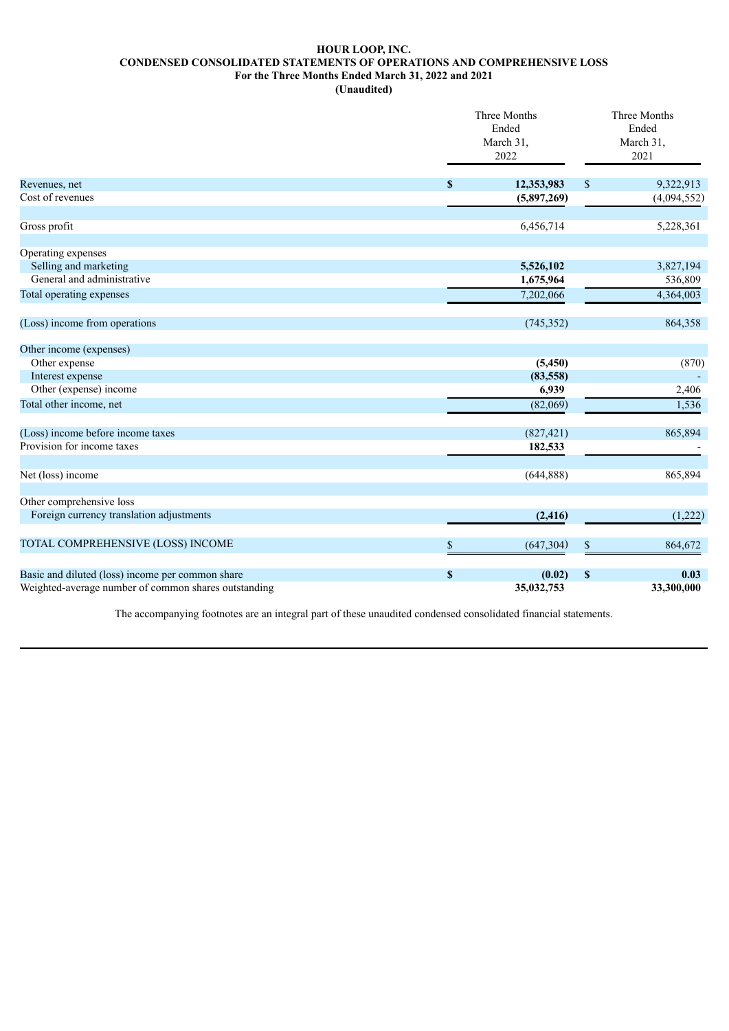## **HOUR LOOP, INC. CONDENSED CONSOLIDATED STATEMENTS OF OPERATIONS AND COMPREHENSIVE LOSS For the Three Months Ended March 31, 2022 and 2021 (Unaudited)**

|                                                      |              | Three Months<br>Ended<br>March 31,<br>2022 |                           | Three Months<br>Ended<br>March 31,<br>2021 |  |
|------------------------------------------------------|--------------|--------------------------------------------|---------------------------|--------------------------------------------|--|
| Revenues, net                                        | $\mathbf{s}$ | 12,353,983                                 | \$                        | 9,322,913                                  |  |
| Cost of revenues                                     |              | (5,897,269)                                |                           | (4,094,552)                                |  |
| Gross profit                                         |              | 6,456,714                                  |                           | 5,228,361                                  |  |
| Operating expenses                                   |              |                                            |                           |                                            |  |
| Selling and marketing                                |              | 5,526,102                                  |                           | 3,827,194                                  |  |
| General and administrative                           |              | 1,675,964                                  |                           | 536,809                                    |  |
| Total operating expenses                             |              | 7,202,066                                  |                           | 4,364,003                                  |  |
| (Loss) income from operations                        |              | (745, 352)                                 |                           | 864,358                                    |  |
| Other income (expenses)                              |              |                                            |                           |                                            |  |
| Other expense                                        |              | (5, 450)                                   |                           | (870)                                      |  |
| Interest expense                                     |              | (83, 558)                                  |                           |                                            |  |
| Other (expense) income                               |              | 6,939                                      |                           | 2,406                                      |  |
| Total other income, net                              |              | (82,069)                                   |                           | 1,536                                      |  |
| (Loss) income before income taxes                    |              | (827, 421)                                 |                           | 865,894                                    |  |
| Provision for income taxes                           |              | 182,533                                    |                           |                                            |  |
| Net (loss) income                                    |              | (644, 888)                                 |                           | 865,894                                    |  |
| Other comprehensive loss                             |              |                                            |                           |                                            |  |
| Foreign currency translation adjustments             |              | (2, 416)                                   |                           | (1,222)                                    |  |
| TOTAL COMPREHENSIVE (LOSS) INCOME                    | <b>S</b>     | (647, 304)                                 | \$                        | 864,672                                    |  |
| Basic and diluted (loss) income per common share     | $\mathbb S$  | (0.02)                                     | $\boldsymbol{\mathsf{s}}$ | 0.03                                       |  |
| Weighted-average number of common shares outstanding |              | 35,032,753                                 |                           | 33,300,000                                 |  |

The accompanying footnotes are an integral part of these unaudited condensed consolidated financial statements.